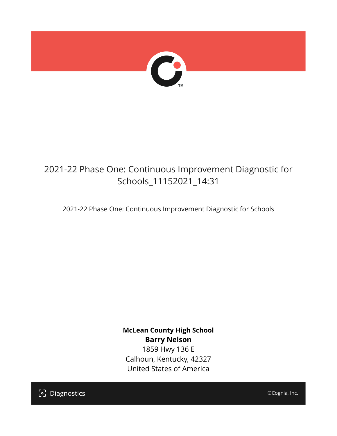

# 2021-22 Phase One: Continuous Improvement Diagnostic for Schools\_11152021\_14:31

2021-22 Phase One: Continuous Improvement Diagnostic for Schools

**McLean County High School Barry Nelson** 1859 Hwy 136 E Calhoun, Kentucky, 42327 United States of America

[၁] Diagnostics

©Cognia, Inc.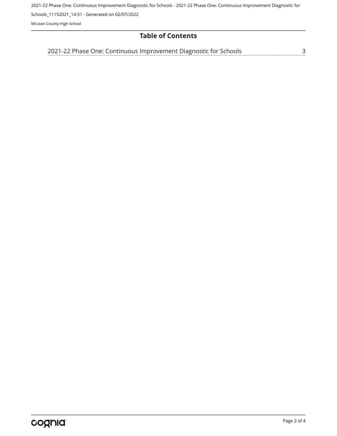2021-22 Phase One: Continuous Improvement Diagnostic for Schools - 2021-22 Phase One: Continuous Improvement Diagnostic for

Schools\_11152021\_14:31 - Generated on 02/07/2022

McLean County High School

# **Table of Contents**

<u>[3](#page-2-0)</u> [2021-22 Phase One: Continuous Improvement Diagnostic for Schools](#page-2-0)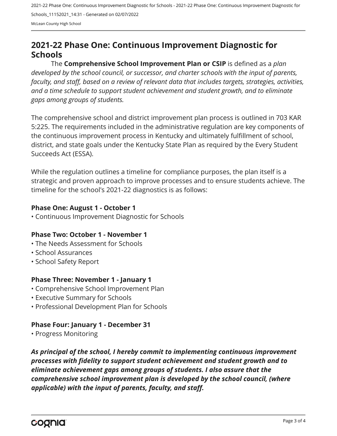2021-22 Phase One: Continuous Improvement Diagnostic for Schools - 2021-22 Phase One: Continuous Improvement Diagnostic for Schools\_11152021\_14:31 - Generated on 02/07/2022 McLean County High School

# <span id="page-2-0"></span>**2021-22 Phase One: Continuous Improvement Diagnostic for Schools**

The **Comprehensive School Improvement Plan or CSIP** is defined as a *plan developed by the school council, or successor, and charter schools with the input of parents, faculty, and staff, based on a review of relevant data that includes targets, strategies, activities, and a time schedule to support student achievement and student growth, and to eliminate gaps among groups of students.*

The comprehensive school and district improvement plan process is outlined in 703 KAR 5:225. The requirements included in the administrative regulation are key components of the continuous improvement process in Kentucky and ultimately fulfillment of school, district, and state goals under the Kentucky State Plan as required by the Every Student Succeeds Act (ESSA).

While the regulation outlines a timeline for compliance purposes, the plan itself is a strategic and proven approach to improve processes and to ensure students achieve. The timeline for the school's 2021-22 diagnostics is as follows:

#### **Phase One: August 1 - October 1**

• Continuous Improvement Diagnostic for Schools

# **Phase Two: October 1 - November 1**

- The Needs Assessment for Schools
- School Assurances
- School Safety Report

# **Phase Three: November 1 - January 1**

- Comprehensive School Improvement Plan
- Executive Summary for Schools
- Professional Development Plan for Schools

# **Phase Four: January 1 - December 31**

• Progress Monitoring

*As principal of the school, I hereby commit to implementing continuous improvement processes with fidelity to support student achievement and student growth and to eliminate achievement gaps among groups of students. I also assure that the comprehensive school improvement plan is developed by the school council, (where applicable) with the input of parents, faculty, and staff.*